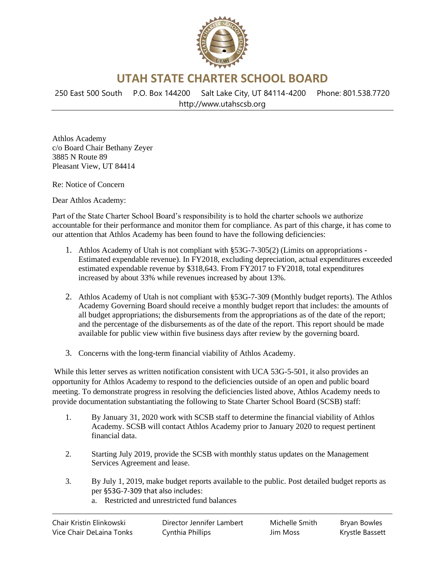

**UTAH STATE CHARTER SCHOOL BOARD**

250 East 500 South P.O. Box 144200 Salt Lake City, UT 84114-4200 Phone: 801.538.7720 http://www.utahscsb.org

Athlos Academy c/o Board Chair Bethany Zeyer 3885 N Route 89 Pleasant View, UT 84414

Re: Notice of Concern

Dear Athlos Academy:

Part of the State Charter School Board's responsibility is to hold the charter schools we authorize accountable for their performance and monitor them for compliance. As part of this charge, it has come to our attention that Athlos Academy has been found to have the following deficiencies:

- 1. Athlos Academy of Utah is not compliant with §53G-7-305(2) (Limits on appropriations Estimated expendable revenue). In FY2018, excluding depreciation, actual expenditures exceeded estimated expendable revenue by \$318,643. From FY2017 to FY2018, total expenditures increased by about 33% while revenues increased by about 13%.
- 2. Athlos Academy of Utah is not compliant with §53G-7-309 (Monthly budget reports). The Athlos Academy Governing Board should receive a monthly budget report that includes: the amounts of all budget appropriations; the disbursements from the appropriations as of the date of the report; and the percentage of the disbursements as of the date of the report. This report should be made available for public view within five business days after review by the governing board.
- 3. Concerns with the long-term financial viability of Athlos Academy.

While this letter serves as written notification consistent with UCA 53G-5-501, it also provides an opportunity for Athlos Academy to respond to the deficiencies outside of an open and public board meeting. To demonstrate progress in resolving the deficiencies listed above, Athlos Academy needs to provide documentation substantiating the following to State Charter School Board (SCSB) staff:

- 1. By January 31, 2020 work with SCSB staff to determine the financial viability of Athlos Academy. SCSB will contact Athlos Academy prior to January 2020 to request pertinent financial data.
- 2. Starting July 2019, provide the SCSB with monthly status updates on the Management Services Agreement and lease.
- 3. By July 1, 2019, make budget reports available to the public. Post detailed budget reports as per §53G-7-309 that also includes:
	- a. Restricted and unrestricted fund balances